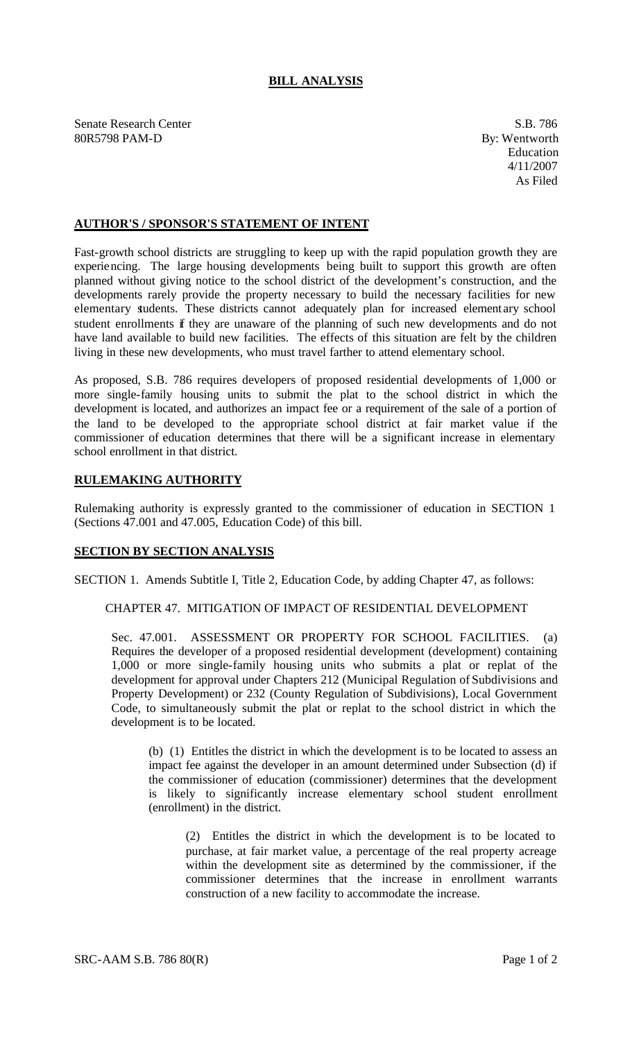# **BILL ANALYSIS**

Senate Research Center S.B. 786 80R5798 PAM-D By: Wentworth

## **AUTHOR'S / SPONSOR'S STATEMENT OF INTENT**

Fast-growth school districts are struggling to keep up with the rapid population growth they are experiencing. The large housing developments being built to support this growth are often planned without giving notice to the school district of the development's construction, and the developments rarely provide the property necessary to build the necessary facilities for new elementary students. These districts cannot adequately plan for increased element ary school student enrollments if they are unaware of the planning of such new developments and do not have land available to build new facilities. The effects of this situation are felt by the children living in these new developments, who must travel farther to attend elementary school.

As proposed, S.B. 786 requires developers of proposed residential developments of 1,000 or more single-family housing units to submit the plat to the school district in which the development is located, and authorizes an impact fee or a requirement of the sale of a portion of the land to be developed to the appropriate school district at fair market value if the commissioner of education determines that there will be a significant increase in elementary school enrollment in that district.

# **RULEMAKING AUTHORITY**

Rulemaking authority is expressly granted to the commissioner of education in SECTION 1 (Sections 47.001 and 47.005, Education Code) of this bill.

## **SECTION BY SECTION ANALYSIS**

SECTION 1. Amends Subtitle I, Title 2, Education Code, by adding Chapter 47, as follows:

#### CHAPTER 47. MITIGATION OF IMPACT OF RESIDENTIAL DEVELOPMENT

Sec. 47.001. ASSESSMENT OR PROPERTY FOR SCHOOL FACILITIES. (a) Requires the developer of a proposed residential development (development) containing 1,000 or more single-family housing units who submits a plat or replat of the development for approval under Chapters 212 (Municipal Regulation of Subdivisions and Property Development) or 232 (County Regulation of Subdivisions), Local Government Code, to simultaneously submit the plat or replat to the school district in which the development is to be located.

(b) (1) Entitles the district in which the development is to be located to assess an impact fee against the developer in an amount determined under Subsection (d) if the commissioner of education (commissioner) determines that the development is likely to significantly increase elementary school student enrollment (enrollment) in the district.

(2) Entitles the district in which the development is to be located to purchase, at fair market value, a percentage of the real property acreage within the development site as determined by the commissioner, if the commissioner determines that the increase in enrollment warrants construction of a new facility to accommodate the increase.